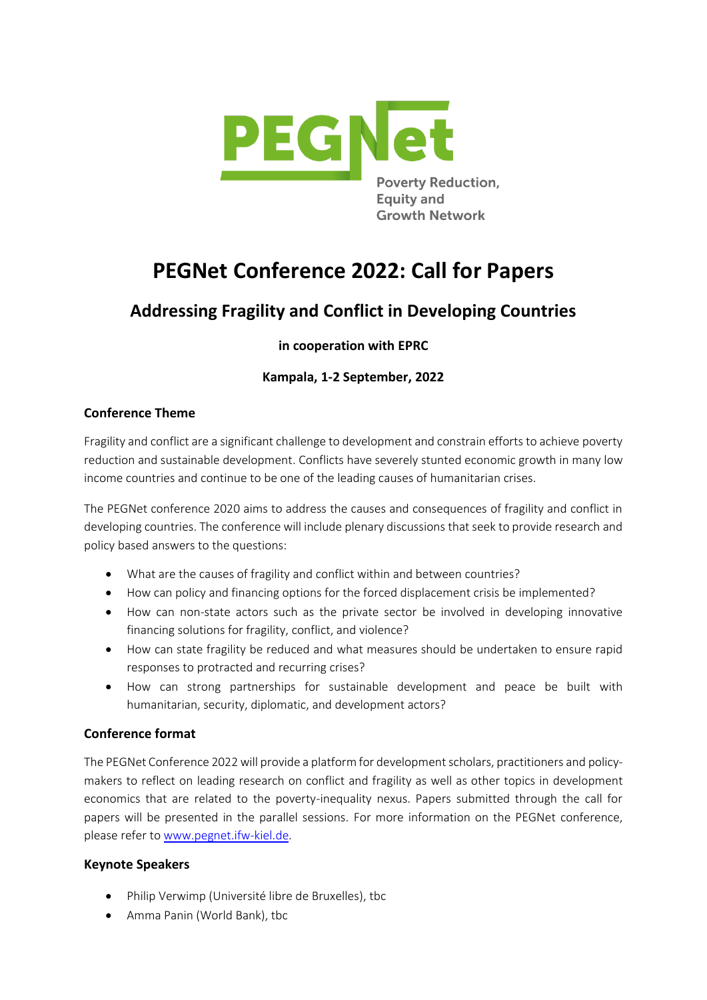

# **PEGNet Conference 2022: Call for Papers**

# **Addressing Fragility and Conflict in Developing Countries**

# **in cooperation with EPRC**

# **Kampala, 1-2 September, 2022**

### **Conference Theme**

Fragility and conflict are a significant challenge to development and constrain efforts to achieve poverty reduction and sustainable development. Conflicts have severely stunted economic growth in many low income countries and continue to be one of the leading causes of humanitarian crises.

The PEGNet conference 2020 aims to address the causes and consequences of fragility and conflict in developing countries. The conference will include plenary discussions that seek to provide research and policy based answers to the questions:

- What are the causes of fragility and conflict within and between countries?
- How can policy and financing options for the forced displacement crisis be implemented?
- How can non-state actors such as the private sector be involved in developing innovative financing solutions for fragility, conflict, and violence?
- How can state fragility be reduced and what measures should be undertaken to ensure rapid responses to protracted and recurring crises?
- How can strong partnerships for sustainable development and peace be built with humanitarian, security, diplomatic, and development actors?

## **Conference format**

The PEGNet Conference 2022 will provide a platform for development scholars, practitioners and policymakers to reflect on leading research on conflict and fragility as well as other topics in development economics that are related to the poverty-inequality nexus. Papers submitted through the call for papers will be presented in the parallel sessions. For more information on the PEGNet conference, please refer to [www.pegnet.ifw-kiel.de.](http://www.pegnet.ifw-kiel.de/)

#### **Keynote Speakers**

- Philip Verwimp (Université libre de Bruxelles), tbc
- Amma Panin (World Bank), tbc